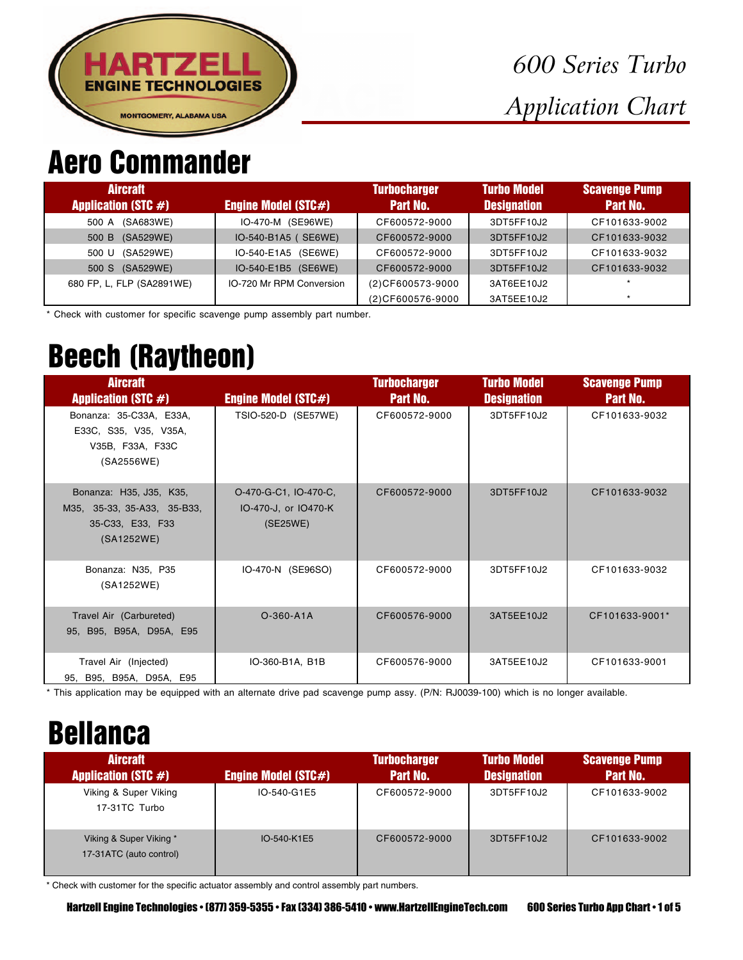

#### Aero Commander

| <b>Aircraft</b><br><b>Application (STC #)</b> | <b>Engine Model (STC#)</b> | <b>Turbocharger</b><br><b>Part No.</b> | <b>Turbo Model</b><br><b>Designation</b> | <b>Scavenge Pump</b><br><b>Part No.</b> |
|-----------------------------------------------|----------------------------|----------------------------------------|------------------------------------------|-----------------------------------------|
| (SA683WE)<br>500 A                            | IO-470-M (SE96WE)          | CF600572-9000                          | 3DT5FF10J2                               | CF101633-9002                           |
| (SA529WE)<br>500 B                            | IO-540-B1A5 ( SE6WE)       | CF600572-9000                          | 3DT5FF10J2                               | CF101633-9032                           |
| (SA529WE)<br>500 U                            | IO-540-E1A5 (SE6WE)        | CF600572-9000                          | 3DT5FF10J2                               | CF101633-9032                           |
| 500 S (SA529WE)                               | IO-540-E1B5 (SE6WE)        | CF600572-9000                          | 3DT5FF10J2                               | CF101633-9032                           |
| 680 FP, L, FLP (SA2891WE)                     | IO-720 Mr RPM Conversion   | (2) CF600573-9000                      | 3AT6EE10J2                               | $\star$                                 |
|                                               |                            | (2) CF600576-9000                      | 3AT5EE10J2                               | $\star$                                 |

\* Check with customer for specific scavenge pump assembly part number.

### Beech (Raytheon)

| <b>Aircraft</b><br><b>Application (STC #)</b>                                            | <b>Engine Model (STC#)</b>                                | <b>Turbocharger</b><br><b>Part No.</b> | <b>Turbo Model</b><br><b>Designation</b> | <b>Scavenge Pump</b><br><b>Part No.</b> |
|------------------------------------------------------------------------------------------|-----------------------------------------------------------|----------------------------------------|------------------------------------------|-----------------------------------------|
| Bonanza: 35-C33A, E33A,<br>E33C, S35, V35, V35A,<br>V35B, F33A, F33C<br>(SA2556WE)       | TSIO-520-D (SE57WE)                                       | CF600572-9000                          | 3DT5FF10J2                               | CF101633-9032                           |
| Bonanza: H35, J35, K35,<br>M35, 35-33, 35-A33, 35-B33,<br>35-C33, E33, F33<br>(SA1252WE) | O-470-G-C1, IO-470-C,<br>IO-470-J, or IO470-K<br>(SE25WE) | CF600572-9000                          | 3DT5FF10J2                               | CF101633-9032                           |
| Bonanza: N35, P35<br>(SA1252WE)                                                          | IO-470-N (SE96SO)                                         | CF600572-9000                          | 3DT5FF10J2                               | CF101633-9032                           |
| Travel Air (Carbureted)<br>95, B95, B95A, D95A, E95                                      | $O-360- A1A$                                              | CF600576-9000                          | 3AT5EE10J2                               | CF101633-9001*                          |
| Travel Air (Injected)<br>95, B95, B95A, D95A, E95                                        | IO-360-B1A, B1B                                           | CF600576-9000                          | 3AT5EE10J2                               | CF101633-9001                           |

\* This application may be equipped with an alternate drive pad scavenge pump assy. (P/N: RJ0039-100) which is no longer available.

### Bellanca

| <b>Aircraft</b>                                    |                            | <b>Turbocharger</b> | <b>Turbo Model</b> | <b>Scavenge Pump</b> |
|----------------------------------------------------|----------------------------|---------------------|--------------------|----------------------|
| <b>Application (STC #)</b>                         | <b>Engine Model (STC#)</b> | <b>Part No.</b>     | <b>Designation</b> | Part No.             |
| Viking & Super Viking<br>17-31TC Turbo             | IO-540-G1E5                | CF600572-9000       | 3DT5FF10J2         | CF101633-9002        |
| Viking & Super Viking *<br>17-31ATC (auto control) | IO-540-K1E5                | CF600572-9000       | 3DT5FF10J2         | CF101633-9002        |

\* Check with customer for the specific actuator assembly and control assembly part numbers.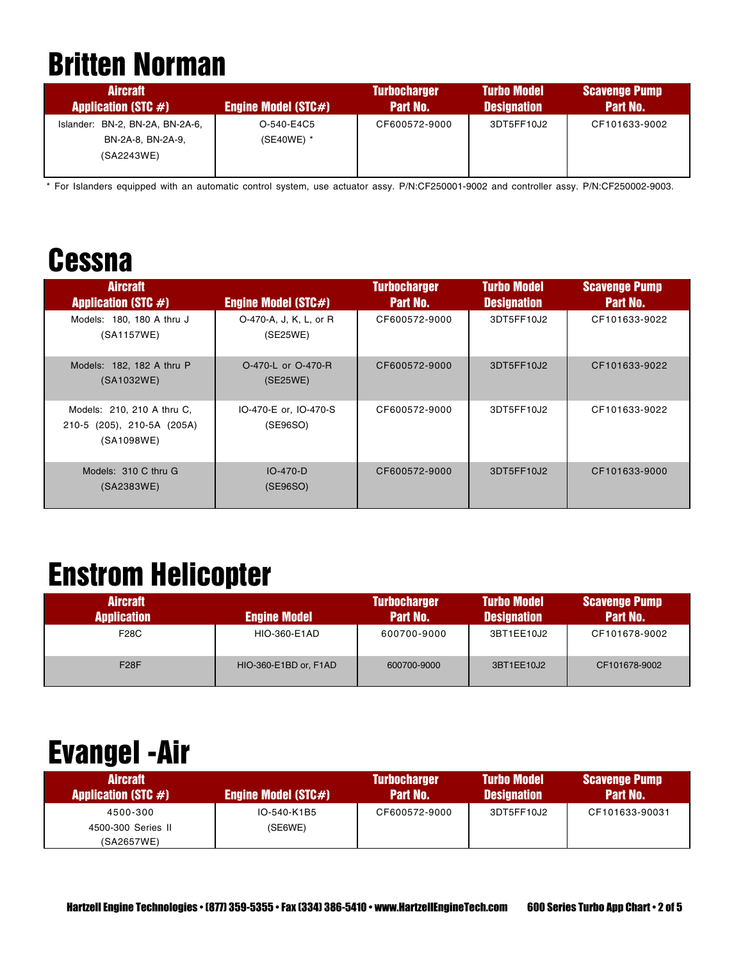## Britten Norman

| <b>Aircraft</b><br><b>Application (STC <math>#</math>)</b> | Engine Model $(STC#)$ | <b>Turbocharger</b><br>Part No. | <b>Turbo Model</b><br><b>Designation</b> | <b>Scavenge Pump</b><br>Part No. |
|------------------------------------------------------------|-----------------------|---------------------------------|------------------------------------------|----------------------------------|
| BN-2, BN-2A, BN-2A-6,<br>Islander:                         | O-540-E4C5            | CF600572-9000                   | 3DT5FF10J2                               | CF101633-9002                    |
| BN-2A-8. BN-2A-9.<br>(SA2243WE)                            | (SE40WE) *            |                                 |                                          |                                  |

\* For Islanders equipped with an automatic control system, use actuator assy. P/N:CF250001-9002 and controller assy. P/N:CF250002-9003.

#### **Cessna**

| <b>Aircraft</b><br><b>Application (STC #)</b>                          | <b>Engine Model (STC#)</b>         | <b>Turbocharger</b><br><b>Part No.</b> | <b>Turbo Model</b><br><b>Designation</b> | <b>Scavenge Pump</b><br><b>Part No.</b> |
|------------------------------------------------------------------------|------------------------------------|----------------------------------------|------------------------------------------|-----------------------------------------|
| Models: 180, 180 A thru J<br>(SA1157WE)                                | O-470-A, J, K, L, or R<br>(SE25WE) | CF600572-9000                          | 3DT5FF10J2                               | CF101633-9022                           |
| Models: 182, 182 A thru P<br>(SA1032WE)                                | O-470-L or O-470-R<br>(SE25WE)     | CF600572-9000                          | 3DT5FF10J2                               | CF101633-9022                           |
| Models: 210, 210 A thru C,<br>210-5 (205), 210-5A (205A)<br>(SA1098WE) | IO-470-E or, IO-470-S<br>(SE96SO)  | CF600572-9000                          | 3DT5FF10J2                               | CF101633-9022                           |
| Models: 310 C thru G<br>(SA2383WE)                                     | $IO-470-D$<br>(SE96SO)             | CF600572-9000                          | 3DT5FF10J2                               | CF101633-9000                           |

### Enstrom Helicopter

| <b>Aircraft</b>    |                       | <b>Turbocharger</b> | <b>Turbo Model</b> | <b>Scavenge Pump</b> |
|--------------------|-----------------------|---------------------|--------------------|----------------------|
| <b>Application</b> | <b>Engine Model</b>   | Part No.            | <b>Designation</b> | Part No.             |
| F28C               | <b>HIO-360-E1AD</b>   | 600700-9000         | 3BT1EE10J2         | CF101678-9002        |
| F28F               | HIO-360-E1BD or, F1AD | 600700-9000         | 3BT1EE10J2         | CF101678-9002        |

### Evangel -Air

| <b>Aircraft</b>                         |                            | <b>Turbocharger</b> | <b>Turbo Model</b> | <b>Scavenge Pump</b> |
|-----------------------------------------|----------------------------|---------------------|--------------------|----------------------|
| <b>Application (STC <math>#</math>)</b> | <b>Engine Model (STC#)</b> | <b>Part No.</b>     | <b>Designation</b> | <b>Part No.</b>      |
| 4500-300                                | IO-540-K1B5                | CF600572-9000       | 3DT5FF10J2         | CF101633-90031       |
| 4500-300 Series II                      | (SE6WE)                    |                     |                    |                      |
| (SA2657WE)                              |                            |                     |                    |                      |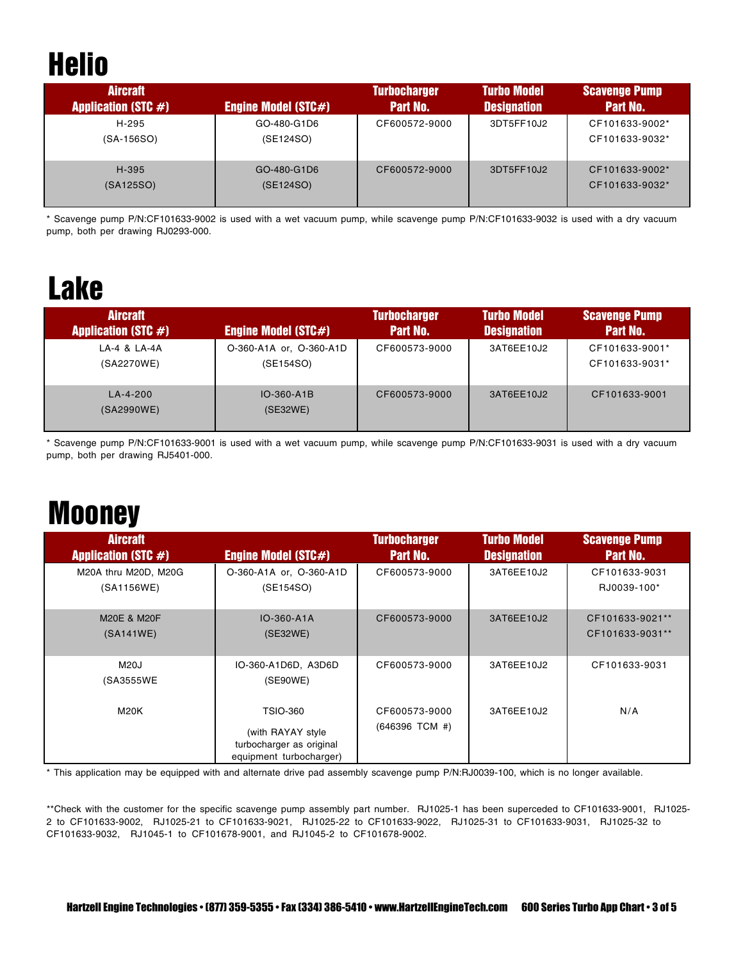# **Helio**

| <b>Aircraft</b><br><b>Application (STC #)</b> | <b>Engine Model (STC#)</b> | <b>Turbocharger</b><br><b>Part No.</b> | <b>Turbo Model</b><br><b>Designation</b> | <b>Scavenge Pump</b><br>Part No. |
|-----------------------------------------------|----------------------------|----------------------------------------|------------------------------------------|----------------------------------|
| H-295<br>$(SA-156SO)$                         | GO-480-G1D6<br>(SE124SO)   | CF600572-9000                          | 3DT5FF10J2                               | CF101633-9002*<br>CF101633-9032* |
| H-395<br>(SA125SO)                            | GO-480-G1D6<br>(SE124SO)   | CF600572-9000                          | 3DT5FF10J2                               | CF101633-9002*<br>CF101633-9032* |

\* Scavenge pump P/N:CF101633-9002 is used with a wet vacuum pump, while scavenge pump P/N:CF101633-9032 is used with a dry vacuum pump, both per drawing RJ0293-000.

## Lake

| <b>Aircraft</b><br><b>Application (STC #)</b> | <b>Engine Model (STC#)</b>           | <b>Turbocharger</b><br>Part No. | <b>Turbo Model</b><br><b>Designation</b> | <b>Scavenge Pump</b><br>Part No. |
|-----------------------------------------------|--------------------------------------|---------------------------------|------------------------------------------|----------------------------------|
| LA-4 & LA-4A<br>(SA2270WE)                    | O-360-A1A or, O-360-A1D<br>(SE154SO) | CF600573-9000                   | 3AT6EE10J2                               | CF101633-9001*<br>CF101633-9031* |
| LA-4-200<br>(SA2990WE)                        | $IO-360- A1B$<br>(SE32WE)            | CF600573-9000                   | 3AT6EE10J2                               | CF101633-9001                    |

\* Scavenge pump P/N:CF101633-9001 is used with a wet vacuum pump, while scavenge pump P/N:CF101633-9031 is used with a dry vacuum pump, both per drawing RJ5401-000.

## **Mooney**

| <b>Aircraft</b><br><b>Application (STC #)</b> | <b>Engine Model (STC#)</b>                                                                  | <b>Turbocharger</b><br><b>Part No.</b> | <b>Turbo Model</b><br><b>Designation</b> | <b>Scavenge Pump</b><br>Part No.   |
|-----------------------------------------------|---------------------------------------------------------------------------------------------|----------------------------------------|------------------------------------------|------------------------------------|
| M20A thru M20D, M20G<br>(SA1156WE)            | O-360-A1A or, O-360-A1D<br>(SE154SO)                                                        | CF600573-9000                          | 3AT6EE10J2                               | CF101633-9031<br>RJ0039-100*       |
| M20E & M20F<br>(SA141WE)                      | IO-360-A1A<br>(SE32WE)                                                                      | CF600573-9000                          | 3AT6EE10J2                               | CF101633-9021**<br>CF101633-9031** |
| M20J<br>(SA3555WE                             | IO-360-A1D6D, A3D6D<br>(SE90WE)                                                             | CF600573-9000                          | 3AT6EE10J2                               | CF101633-9031                      |
| <b>M20K</b>                                   | <b>TSIO-360</b><br>(with RAYAY style<br>turbocharger as original<br>equipment turbocharger) | CF600573-9000<br>$(646396$ TCM #)      | 3AT6EE10J2                               | N/A                                |

\* This application may be equipped with and alternate drive pad assembly scavenge pump P/N:RJ0039-100, which is no longer available.

\*\*Check with the customer for the specific scavenge pump assembly part number. RJ1025-1 has been superceded to CF101633-9001, RJ1025- 2 to CF101633-9002, RJ1025-21 to CF101633-9021, RJ1025-22 to CF101633-9022, RJ1025-31 to CF101633-9031, RJ1025-32 to CF101633-9032, RJ1045-1 to CF101678-9001, and RJ1045-2 to CF101678-9002.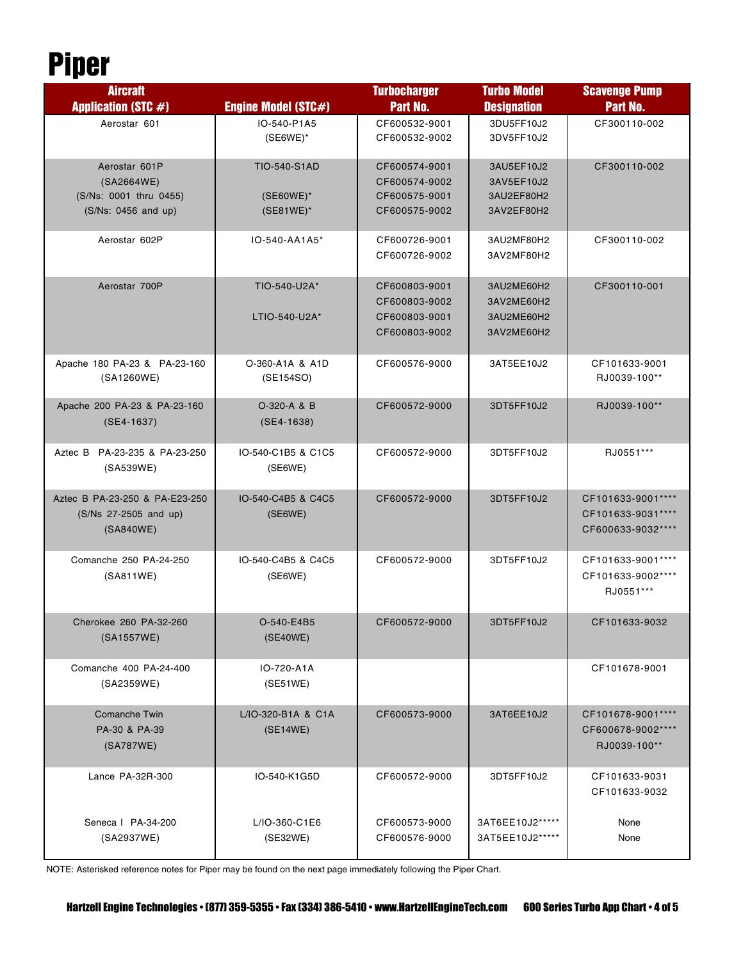## Piper

| <b>Aircraft</b>                                                              |                                                  | <b>Turbocharger</b>                                              | <b>Turbo Model</b>                                   | <b>Scavenge Pump</b>                                        |
|------------------------------------------------------------------------------|--------------------------------------------------|------------------------------------------------------------------|------------------------------------------------------|-------------------------------------------------------------|
| <b>Application (STC #)</b>                                                   | <b>Engine Model (STC#)</b>                       | Part No.                                                         | <b>Designation</b>                                   | Part No.                                                    |
| Aerostar 601                                                                 | IO-540-P1A5<br>$(SE6WE)^*$                       | CF600532-9001<br>CF600532-9002                                   | 3DU5FF10J2<br>3DV5FF10J2                             | CF300110-002                                                |
| Aerostar 601P<br>(SA2664WE)<br>(S/Ns: 0001 thru 0455)<br>(S/Ns: 0456 and up) | <b>TIO-540-S1AD</b><br>(SE60WE)*<br>$(SE81WE)^*$ | CF600574-9001<br>CF600574-9002<br>CF600575-9001<br>CF600575-9002 | 3AU5EF10J2<br>3AV5EF10J2<br>3AU2EF80H2<br>3AV2EF80H2 | CF300110-002                                                |
| Aerostar 602P                                                                | IO-540-AA1A5*                                    | CF600726-9001<br>CF600726-9002                                   | 3AU2MF80H2<br>3AV2MF80H2                             | CF300110-002                                                |
| Aerostar 700P                                                                | TIO-540-U2A*<br>LTIO-540-U2A*                    | CF600803-9001<br>CF600803-9002<br>CF600803-9001<br>CF600803-9002 | 3AU2ME60H2<br>3AV2ME60H2<br>3AU2ME60H2<br>3AV2ME60H2 | CF300110-001                                                |
| Apache 180 PA-23 & PA-23-160<br>(SA1260WE)                                   | O-360-A1A & A1D<br>(SE154SO)                     | CF600576-9000                                                    | 3AT5EE10J2                                           | CF101633-9001<br>RJ0039-100**                               |
| Apache 200 PA-23 & PA-23-160<br>$(SE4-1637)$                                 | O-320-A & B<br>$(SE4-1638)$                      | CF600572-9000                                                    | 3DT5FF10J2                                           | RJ0039-100**                                                |
| Aztec B PA-23-235 & PA-23-250<br>(SA539WE)                                   | IO-540-C1B5 & C1C5<br>(SE6WE)                    | CF600572-9000                                                    | 3DT5FF10J2                                           | RJ0551 ***                                                  |
| Aztec B PA-23-250 & PA-E23-250<br>(S/Ns 27-2505 and up)<br>(SA840WE)         | IO-540-C4B5 & C4C5<br>(SE6WE)                    | CF600572-9000                                                    | 3DT5FF10J2                                           | CF101633-9001****<br>CF101633-9031****<br>CF600633-9032**** |
| Comanche 250 PA-24-250<br>(SA811WE)                                          | IO-540-C4B5 & C4C5<br>(SE6WE)                    | CF600572-9000                                                    | 3DT5FF10J2                                           | CF101633-9001 ****<br>CF101633-9002****<br>RJ0551***        |
| Cherokee 260 PA-32-260<br>(SA1557WE)                                         | O-540-E4B5<br>(SE40WE)                           | CF600572-9000                                                    | 3DT5FF10J2                                           | CF101633-9032                                               |
| Comanche 400 PA-24-400<br>(SA2359WE)                                         | IO-720-A1A<br>(SE51WE)                           |                                                                  |                                                      | CF101678-9001                                               |
| <b>Comanche Twin</b><br>PA-30 & PA-39<br>(SA787WE)                           | L/IO-320-B1A & C1A<br>(SE14WE)                   | CF600573-9000                                                    | 3AT6EE10J2                                           | CF101678-9001****<br>CF600678-9002****<br>RJ0039-100**      |
| Lance PA-32R-300                                                             | IO-540-K1G5D                                     | CF600572-9000                                                    | 3DT5FF10J2                                           | CF101633-9031<br>CF101633-9032                              |
| Seneca   PA-34-200<br>(SA2937WE)                                             | L/IO-360-C1E6<br>(SE32WE)                        | CF600573-9000<br>CF600576-9000                                   | 3AT6EE10J2*****<br>3AT5EE10J2 *****                  | None<br>None                                                |

NOTE: Asterisked reference notes for Piper may be found on the next page immediately following the Piper Chart.